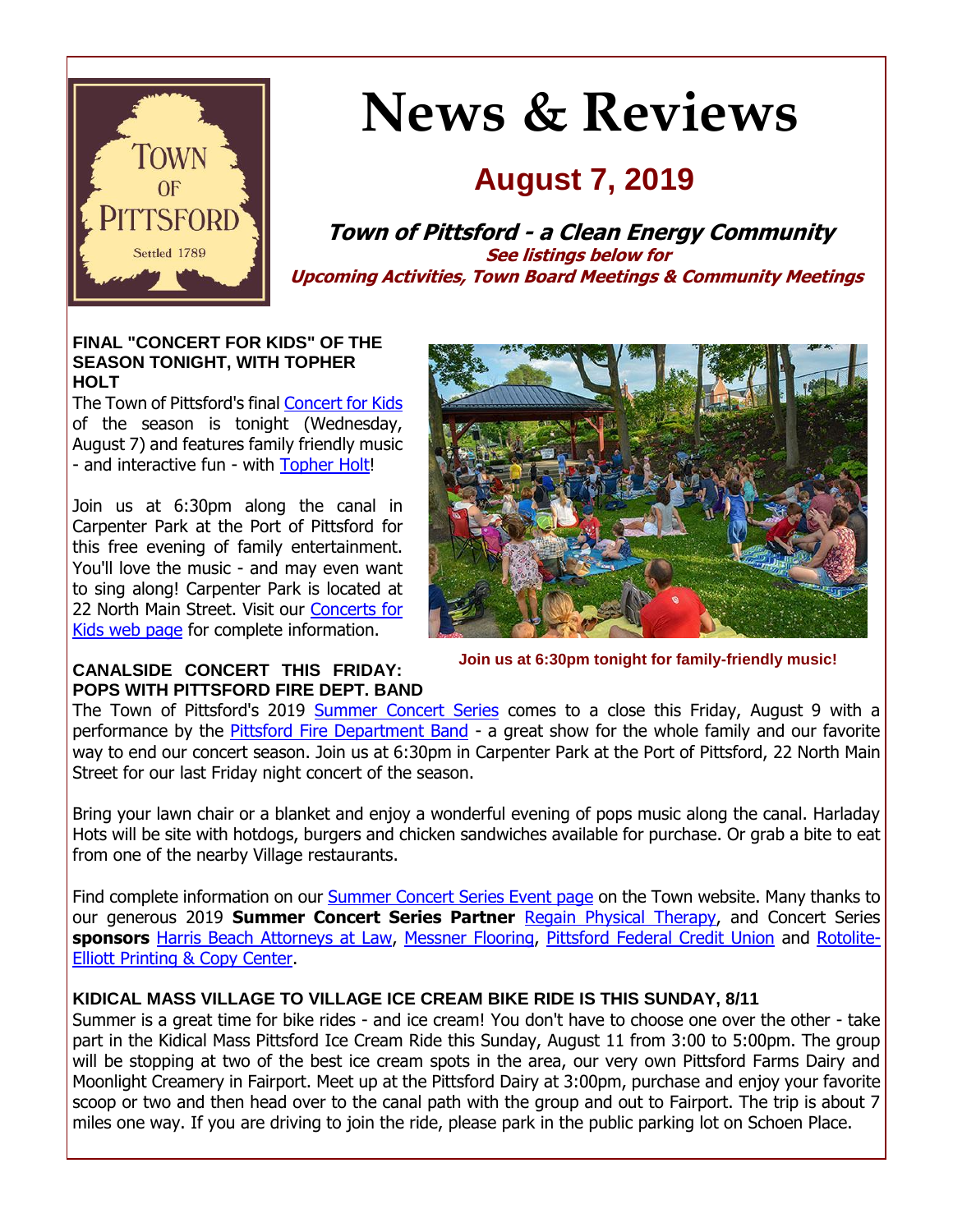

# **News & Reviews**

# **August 7, 2019**

**Town of Pittsford - a Clean Energy Community See listings below for Upcoming Activities, Town Board Meetings & Community Meetings**

#### **FINAL "CONCERT FOR KIDS" OF THE SEASON TONIGHT, WITH TOPHER HOLT**

The Town of Pittsford's final [Concert for Kids](http://r20.rs6.net/tn.jsp?f=001IqwHvSa-YcwS_16bosyT9LQ4Qj4y9hcPsqDP-gY7m7QXbojCZ67-tl2hja9dXeZIqYI8aK8iI0lMQOFmn-H6HjY8Vn6VNttdHtKFCOqEOtgCiBEsHg8yY1Hjf7GZ8mf4bPHXFx4q8pJHlsBtJjRMsQPBRmLcQ8eGjrInV9urDPV3qNO-f0DDDdT5Wjfrju3-Yv1rf1U4EFFibuB-olLAVc_W9oKZom-J7vay7d6k0oCtCHAkFBqolV5nZQ1vUM7uSZucAe9zqfpx-9F5xjsSZ9nCQYmznB2guM_HeU8lFCwifhGdX6DfZ_Rirh4TvUQg&c=gsnQLx4yFoPv5E3a10cPMct2hZneeqaNyrO2tN5VJQ8aJwkbxuKHmA==&ch=0fMKQyDSLbwABg77GZ24R3S-BDbl2uCe89FdjJn2LD1WduQFLsCfvw==) of the season is tonight (Wednesday, August 7) and features family friendly music - and interactive fun - with [Topher Holt!](http://r20.rs6.net/tn.jsp?f=001IqwHvSa-YcwS_16bosyT9LQ4Qj4y9hcPsqDP-gY7m7QXbojCZ67-tnglbJ1Twks3KZ0kerU5KT4PethpAT4DRl0ShgQC_iiWYYS1QLZDiARynmAHnPgTGnrVhRXaml6afUQ7mkq2Rso1O1shQfnzN_r-DJ38J15MA1boZnPKSw7ry5bRg5XqS85wgQNoEm6AKn60SkpptRXbJf9qwu_9pDrPjFzjUOJEWLfKR08pZVEd5SATG6Tmwcq5ClG84OZVE40fUFwXyEsAdHMMtKgthjs-6mt-F_uLqhmp0CpLQmbOv7WtxpACT622gJEzMcIZ&c=gsnQLx4yFoPv5E3a10cPMct2hZneeqaNyrO2tN5VJQ8aJwkbxuKHmA==&ch=0fMKQyDSLbwABg77GZ24R3S-BDbl2uCe89FdjJn2LD1WduQFLsCfvw==)

Join us at 6:30pm along the canal in Carpenter Park at the Port of Pittsford for this free evening of family entertainment. You'll love the music - and may even want to sing along! Carpenter Park is located at 22 North Main Street. Visit our [Concerts for](http://r20.rs6.net/tn.jsp?f=001IqwHvSa-YcwS_16bosyT9LQ4Qj4y9hcPsqDP-gY7m7QXbojCZ67-tl2hja9dXeZIqYI8aK8iI0lMQOFmn-H6HjY8Vn6VNttdHtKFCOqEOtgCiBEsHg8yY1Hjf7GZ8mf4bPHXFx4q8pJHlsBtJjRMsQPBRmLcQ8eGjrInV9urDPV3qNO-f0DDDdT5Wjfrju3-Yv1rf1U4EFFibuB-olLAVc_W9oKZom-J7vay7d6k0oCtCHAkFBqolV5nZQ1vUM7uSZucAe9zqfpx-9F5xjsSZ9nCQYmznB2guM_HeU8lFCwifhGdX6DfZ_Rirh4TvUQg&c=gsnQLx4yFoPv5E3a10cPMct2hZneeqaNyrO2tN5VJQ8aJwkbxuKHmA==&ch=0fMKQyDSLbwABg77GZ24R3S-BDbl2uCe89FdjJn2LD1WduQFLsCfvw==)  [Kids web page](http://r20.rs6.net/tn.jsp?f=001IqwHvSa-YcwS_16bosyT9LQ4Qj4y9hcPsqDP-gY7m7QXbojCZ67-tl2hja9dXeZIqYI8aK8iI0lMQOFmn-H6HjY8Vn6VNttdHtKFCOqEOtgCiBEsHg8yY1Hjf7GZ8mf4bPHXFx4q8pJHlsBtJjRMsQPBRmLcQ8eGjrInV9urDPV3qNO-f0DDDdT5Wjfrju3-Yv1rf1U4EFFibuB-olLAVc_W9oKZom-J7vay7d6k0oCtCHAkFBqolV5nZQ1vUM7uSZucAe9zqfpx-9F5xjsSZ9nCQYmznB2guM_HeU8lFCwifhGdX6DfZ_Rirh4TvUQg&c=gsnQLx4yFoPv5E3a10cPMct2hZneeqaNyrO2tN5VJQ8aJwkbxuKHmA==&ch=0fMKQyDSLbwABg77GZ24R3S-BDbl2uCe89FdjJn2LD1WduQFLsCfvw==) for complete information.



**Join us at 6:30pm tonight for family-friendly music!**

#### **CANALSIDE CONCERT THIS FRIDAY: POPS WITH PITTSFORD FIRE DEPT. BAND**

The Town of Pittsford's 2019 [Summer Concert Series](http://r20.rs6.net/tn.jsp?f=001IqwHvSa-YcwS_16bosyT9LQ4Qj4y9hcPsqDP-gY7m7QXbojCZ67-tiaAeiXVtH2m5XPuV18V2cplna5JIHlyjJcdsyrVXZGd1jVc1iEokzblMrbaYYpj4dtpM60Ao7uVUNpcBpxVqWAeUeFtj7_-MDet9C8vjvjhKe3PwIxn4sUduo6RlIhwxHHAynO0zEG0dJq7ZfAZkrOG4jDuaWcik_K5UpsiHrhf3sYyVIxM6kMD_Vqfg4SKMs3tfHflscFXiyROIc1QZtHOLKWG_z4XcLuo1nqaBNJcOo12q3csSY0wDYpZkGmrvU2swm7eq4b6&c=gsnQLx4yFoPv5E3a10cPMct2hZneeqaNyrO2tN5VJQ8aJwkbxuKHmA==&ch=0fMKQyDSLbwABg77GZ24R3S-BDbl2uCe89FdjJn2LD1WduQFLsCfvw==) comes to a close this Friday, August 9 with a performance by the [Pittsford Fire Department Band](http://r20.rs6.net/tn.jsp?f=001IqwHvSa-YcwS_16bosyT9LQ4Qj4y9hcPsqDP-gY7m7QXbojCZ67-tj_LZgj44WV6e-B1nNLIGGxVsP6s8_PDPfzxQG7uxq6QeaQC55eERTHpyz6SpBdxVTM-pYSr8HRb1YUWWLyIux2Lgr27YmK4E-hZBlZGAnOxBy4IOfGRQ-5gmd7Pfz037S6dkklxJrhL-UdUYTreWZhSPdT1A1xdPl1clbHs5TdOlmxmzkInmzpkuvjR_cAuwNxglcDqwSRsIg0WCpkcMtaau64sqOo-Vi5f1tFfi_5MqS5JUMHqDRU=&c=gsnQLx4yFoPv5E3a10cPMct2hZneeqaNyrO2tN5VJQ8aJwkbxuKHmA==&ch=0fMKQyDSLbwABg77GZ24R3S-BDbl2uCe89FdjJn2LD1WduQFLsCfvw==) - a great show for the whole family and our favorite way to end our concert season. Join us at 6:30pm in Carpenter Park at the Port of Pittsford, 22 North Main Street for our last Friday night concert of the season.

Bring your lawn chair or a blanket and enjoy a wonderful evening of pops music along the canal. Harladay Hots will be site with hotdogs, burgers and chicken sandwiches available for purchase. Or grab a bite to eat from one of the nearby Village restaurants.

Find complete information on our [Summer Concert Series Event page](http://r20.rs6.net/tn.jsp?f=001IqwHvSa-YcwS_16bosyT9LQ4Qj4y9hcPsqDP-gY7m7QXbojCZ67-tiaAeiXVtH2m5XPuV18V2cplna5JIHlyjJcdsyrVXZGd1jVc1iEokzblMrbaYYpj4dtpM60Ao7uVUNpcBpxVqWAeUeFtj7_-MDet9C8vjvjhKe3PwIxn4sUduo6RlIhwxHHAynO0zEG0dJq7ZfAZkrOG4jDuaWcik_K5UpsiHrhf3sYyVIxM6kMD_Vqfg4SKMs3tfHflscFXiyROIc1QZtHOLKWG_z4XcLuo1nqaBNJcOo12q3csSY0wDYpZkGmrvU2swm7eq4b6&c=gsnQLx4yFoPv5E3a10cPMct2hZneeqaNyrO2tN5VJQ8aJwkbxuKHmA==&ch=0fMKQyDSLbwABg77GZ24R3S-BDbl2uCe89FdjJn2LD1WduQFLsCfvw==) on the Town website. Many thanks to our generous 2019 **Summer Concert Series Partner** [Regain Physical Therapy,](http://r20.rs6.net/tn.jsp?f=001IqwHvSa-YcwS_16bosyT9LQ4Qj4y9hcPsqDP-gY7m7QXbojCZ67-tjnKUuVSOEwFU5UWwKpSj65iPJ_k6oyNqFJJkHKbc_WINIyfsAv7mN-2XFVkI3a0lShOOmGMFRCqbhNiSGfQml6roB87rgqdQAiutst-em9Vz2oTDrSysWf94czNfBF1z5iHzzR9kH0QBaCMo8wggbSXHKxIcE-Z5Abrjii0dswq4mJGgD-muwb9tbRsDfdwlObxvhg8_AS8goXzllRcbYU6BcxmfK3MKbsEYHrKmkXX&c=gsnQLx4yFoPv5E3a10cPMct2hZneeqaNyrO2tN5VJQ8aJwkbxuKHmA==&ch=0fMKQyDSLbwABg77GZ24R3S-BDbl2uCe89FdjJn2LD1WduQFLsCfvw==) and Concert Series **sponsors** [Harris Beach Attorneys at Law,](http://r20.rs6.net/tn.jsp?f=001IqwHvSa-YcwS_16bosyT9LQ4Qj4y9hcPsqDP-gY7m7QXbojCZ67-tpDsUz8XdjmN7-Vrhhtr_sqsDHLBrHcuTHJ8sjneR9DYpZOrRpUBRhnlea2MJ6ZMc9WzS_JhKw5NCZkIPvFfdrfAE3GPZfIudUPTibcKy_Dl3BgJZxpkUBH74DY1ukFtR-Fz6TCQc_YpkZNiB-Oy4ukJEdLFbAhIhWFqkGrPPGPMb_ohvhf4zalxd-kw9vhb3Fqv2XmuaSmKlamh6MdxA80PSm1mrXofTFx5TQMqU9NUrn3dOTjRTMk=&c=gsnQLx4yFoPv5E3a10cPMct2hZneeqaNyrO2tN5VJQ8aJwkbxuKHmA==&ch=0fMKQyDSLbwABg77GZ24R3S-BDbl2uCe89FdjJn2LD1WduQFLsCfvw==) [Messner Flooring,](http://r20.rs6.net/tn.jsp?f=001IqwHvSa-YcwS_16bosyT9LQ4Qj4y9hcPsqDP-gY7m7QXbojCZ67-tpDsUz8XdjmNFr5SqeyIn7Om-nj0kBeoN55LD68aFHg2eVFr_8sRGsoJG78KXintVeunKS03-YsV8WbWdMtMyBxGmfgXVNlSQ8BiYxQLLcDlUAEaCzUMF5iko2sxNaVAp4exVEJoAh3FFWpHp_Oqcdirzxpsxjl-MA1HEfevVYwvKhtlynBtjxeL0bs4-kSI_eE7EHZe1nCUxIdYhDsUBsFheYNkMKQxzew5rf3sTi4fdwBjf6ZvLRU=&c=gsnQLx4yFoPv5E3a10cPMct2hZneeqaNyrO2tN5VJQ8aJwkbxuKHmA==&ch=0fMKQyDSLbwABg77GZ24R3S-BDbl2uCe89FdjJn2LD1WduQFLsCfvw==) [Pittsford Federal Credit Union](http://r20.rs6.net/tn.jsp?f=001IqwHvSa-YcwS_16bosyT9LQ4Qj4y9hcPsqDP-gY7m7QXbojCZ67-thLLk5Mqm7ES33nDtPMlLQbTW5SL5cXJI6OwqWbHXY9aeDg657_26rA2AiNIAWtWfly4T6qG7Wlwhupdm_TReefcxwfehalOwzMWugdqtQoHcXXdij_h1F6BX9D-Al1X3bFH9znqZCs9ks7N_GujrOvoLyPpbPqqZ__oA8HRGZhX68uDtps1geqatvMtGkB4UVNHkwQ9guvaxXRWNZYoWhp-7tGROvq4TeoMdR3ipZvkEcXbLLiMINw=&c=gsnQLx4yFoPv5E3a10cPMct2hZneeqaNyrO2tN5VJQ8aJwkbxuKHmA==&ch=0fMKQyDSLbwABg77GZ24R3S-BDbl2uCe89FdjJn2LD1WduQFLsCfvw==) and [Rotolite-](http://r20.rs6.net/tn.jsp?f=001IqwHvSa-YcwS_16bosyT9LQ4Qj4y9hcPsqDP-gY7m7QXbojCZ67-tpDsUz8XdjmN4yRGiPZhyD9kkJIBY43zQRSIlpFAKDTklBHIhfgCzeMc2QUo4-6XUe5nh0VJneGUafWp8Ly5TgfTah-6HWNJvjwWKXlDIVQfLXK4rxObKGrNJhfOn9zR8jUNDyHGOOFEDHQGD0udef1D1tvI0FLkrQ1RuY7zzAMylQ_JTtkuYyhyvfopKka4ehYwz1-ekVuA5u3xWG2UAzK5yGgPCDSRhdKFYwI7pE5FvJvHRaoF_YI=&c=gsnQLx4yFoPv5E3a10cPMct2hZneeqaNyrO2tN5VJQ8aJwkbxuKHmA==&ch=0fMKQyDSLbwABg77GZ24R3S-BDbl2uCe89FdjJn2LD1WduQFLsCfvw==)[Elliott Printing & Copy Center.](http://r20.rs6.net/tn.jsp?f=001IqwHvSa-YcwS_16bosyT9LQ4Qj4y9hcPsqDP-gY7m7QXbojCZ67-tpDsUz8XdjmN4yRGiPZhyD9kkJIBY43zQRSIlpFAKDTklBHIhfgCzeMc2QUo4-6XUe5nh0VJneGUafWp8Ly5TgfTah-6HWNJvjwWKXlDIVQfLXK4rxObKGrNJhfOn9zR8jUNDyHGOOFEDHQGD0udef1D1tvI0FLkrQ1RuY7zzAMylQ_JTtkuYyhyvfopKka4ehYwz1-ekVuA5u3xWG2UAzK5yGgPCDSRhdKFYwI7pE5FvJvHRaoF_YI=&c=gsnQLx4yFoPv5E3a10cPMct2hZneeqaNyrO2tN5VJQ8aJwkbxuKHmA==&ch=0fMKQyDSLbwABg77GZ24R3S-BDbl2uCe89FdjJn2LD1WduQFLsCfvw==)

# **KIDICAL MASS VILLAGE TO VILLAGE ICE CREAM BIKE RIDE IS THIS SUNDAY, 8/11**

Summer is a great time for bike rides - and ice cream! You don't have to choose one over the other - take part in the Kidical Mass Pittsford Ice Cream Ride this Sunday, August 11 from 3:00 to 5:00pm. The group will be stopping at two of the best ice cream spots in the area, our very own Pittsford Farms Dairy and Moonlight Creamery in Fairport. Meet up at the Pittsford Dairy at 3:00pm, purchase and enjoy your favorite scoop or two and then head over to the canal path with the group and out to Fairport. The trip is about 7 miles one way. If you are driving to join the ride, please park in the public parking lot on Schoen Place.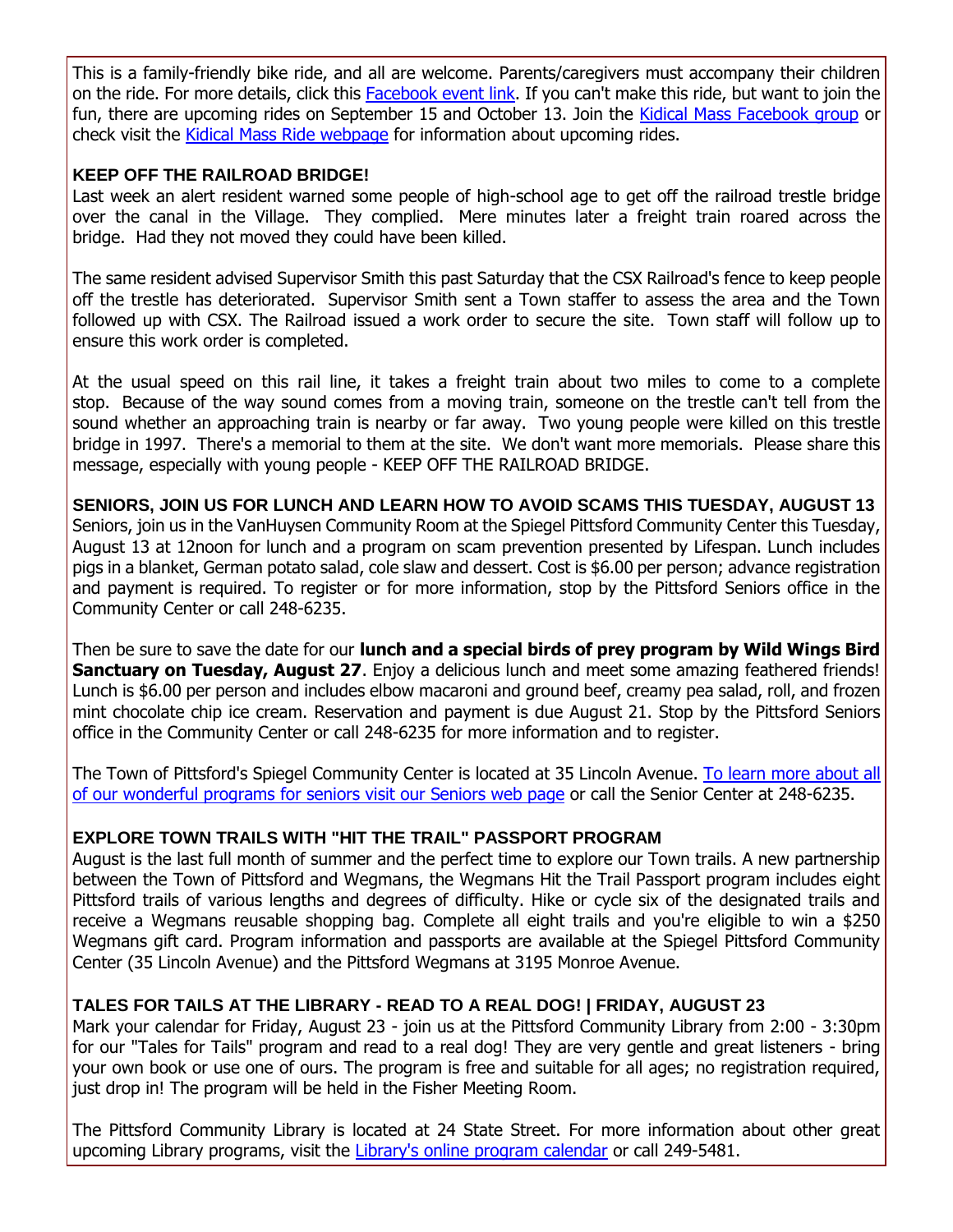This is a family-friendly bike ride, and all are welcome. Parents/caregivers must accompany their children on the ride. For more details, click this [Facebook event link.](http://r20.rs6.net/tn.jsp?f=001IqwHvSa-YcwS_16bosyT9LQ4Qj4y9hcPsqDP-gY7m7QXbojCZ67-tj_LZgj44WV6BVL2s0B2nUplNKGPXlDNlsilrl84PLciLABR9Q-jjzuo3yni038KL6Ab832BcDvKNM-Ox8kZ1e77yIHdWc1a1wJcU9ji31HhkMwJX_6PibaRKMMaMXXGzOCFkYtM5VbwFG4O0DNs9yM4vVga977yYA==&c=gsnQLx4yFoPv5E3a10cPMct2hZneeqaNyrO2tN5VJQ8aJwkbxuKHmA==&ch=0fMKQyDSLbwABg77GZ24R3S-BDbl2uCe89FdjJn2LD1WduQFLsCfvw==) If you can't make this ride, but want to join the fun, there are upcoming rides on September 15 and October 13. Join the [Kidical Mass Facebook group](http://r20.rs6.net/tn.jsp?f=001IqwHvSa-YcwS_16bosyT9LQ4Qj4y9hcPsqDP-gY7m7QXbojCZ67-tj_LZgj44WV63TOvJwsQyYj7oDnEuOlk5UsKFR2CFOhugqYnJj06fLkXJXJoeDnxqglUIzb9Z869njDbd28x19VNz2V-s0035IFlwkmMIEZuCU5yBVs_lQoyQ1zwDGpYrxW2ao4vBuCtWmVMjQdI9p5FbzeiXRchzA==&c=gsnQLx4yFoPv5E3a10cPMct2hZneeqaNyrO2tN5VJQ8aJwkbxuKHmA==&ch=0fMKQyDSLbwABg77GZ24R3S-BDbl2uCe89FdjJn2LD1WduQFLsCfvw==) or check visit the [Kidical Mass Ride webpage](http://r20.rs6.net/tn.jsp?f=001IqwHvSa-YcwS_16bosyT9LQ4Qj4y9hcPsqDP-gY7m7QXbojCZ67-tj_LZgj44WV6juLgoVoMI0IpQysedsDo5LR9BITioO9uDpj4lPlcoMxglhGFIWLIC9nHTKVZo0RMSahCOMkhD8wvVQ5qbI9gMBU3mzjkbNgKmbWlv2arI2DJ6uDWfbmUr6qDMpj-G9N1Z3wIdbtMAGPb0cAGSdwPwIzDACwtcJi_uZ5k9SifmF0qzCS2Ao0Y5p5c7ksdTxc2alTEow6_SwrQDTPkUG6VJWtjoDqwnuB6fw6KPgaQPxE1WpvR-TLHqzozFSS3bVJe32mhY0aY6phDs4Y5-nTQRJaFLuNXLdg7&c=gsnQLx4yFoPv5E3a10cPMct2hZneeqaNyrO2tN5VJQ8aJwkbxuKHmA==&ch=0fMKQyDSLbwABg77GZ24R3S-BDbl2uCe89FdjJn2LD1WduQFLsCfvw==) for information about upcoming rides.

#### **KEEP OFF THE RAILROAD BRIDGE!**

Last week an alert resident warned some people of high-school age to get off the railroad trestle bridge over the canal in the Village. They complied. Mere minutes later a freight train roared across the bridge. Had they not moved they could have been killed.

The same resident advised Supervisor Smith this past Saturday that the CSX Railroad's fence to keep people off the trestle has deteriorated. Supervisor Smith sent a Town staffer to assess the area and the Town followed up with CSX. The Railroad issued a work order to secure the site. Town staff will follow up to ensure this work order is completed.

At the usual speed on this rail line, it takes a freight train about two miles to come to a complete stop. Because of the way sound comes from a moving train, someone on the trestle can't tell from the sound whether an approaching train is nearby or far away. Two young people were killed on this trestle bridge in 1997. There's a memorial to them at the site. We don't want more memorials. Please share this message, especially with young people - KEEP OFF THE RAILROAD BRIDGE.

**SENIORS, JOIN US FOR LUNCH AND LEARN HOW TO AVOID SCAMS THIS TUESDAY, AUGUST 13** Seniors, join us in the VanHuysen Community Room at the Spiegel Pittsford Community Center this Tuesday, August 13 at 12noon for lunch and a program on scam prevention presented by Lifespan. Lunch includes pigs in a blanket, German potato salad, cole slaw and dessert. Cost is \$6.00 per person; advance registration and payment is required. To register or for more information, stop by the Pittsford Seniors office in the Community Center or call 248-6235.

Then be sure to save the date for our **lunch and a special birds of prey program by Wild Wings Bird Sanctuary on Tuesday, August 27**. Enjoy a delicious lunch and meet some amazing feathered friends! Lunch is \$6.00 per person and includes elbow macaroni and ground beef, creamy pea salad, roll, and frozen mint chocolate chip ice cream. Reservation and payment is due August 21. Stop by the Pittsford Seniors office in the Community Center or call 248-6235 for more information and to register.

The Town of Pittsford's Spiegel Community Center is located at 35 Lincoln Avenue. [To learn more about all](http://r20.rs6.net/tn.jsp?f=001IqwHvSa-YcwS_16bosyT9LQ4Qj4y9hcPsqDP-gY7m7QXbojCZ67-tuE2gTL2tC521UslNBYRKdLcYcYmUWVB9T-GVgaz7aL96egtSsStXiMtoFXvZNtxY9K4J48EmjLuJiqHlu9DRU4Uu6rNhpu5FDUbcOxVgbYEWrWAnSO0umeamXG1UvBTD7XtpXt5ny6vDnPFLMQ7aSbHJqQ7vIat6E4zSsRs2INosVM0CPANZNOrYM5LRUTMIJT50MLncOCAzRqkWb45ZQJW56w2qT49BsdY8iUpVQql_ghEwXiMQM0Y6uqLJFmBLicbdWRzH1BI&c=gsnQLx4yFoPv5E3a10cPMct2hZneeqaNyrO2tN5VJQ8aJwkbxuKHmA==&ch=0fMKQyDSLbwABg77GZ24R3S-BDbl2uCe89FdjJn2LD1WduQFLsCfvw==)  [of our wonderful programs for seniors visit our Seniors web page](http://r20.rs6.net/tn.jsp?f=001IqwHvSa-YcwS_16bosyT9LQ4Qj4y9hcPsqDP-gY7m7QXbojCZ67-tuE2gTL2tC521UslNBYRKdLcYcYmUWVB9T-GVgaz7aL96egtSsStXiMtoFXvZNtxY9K4J48EmjLuJiqHlu9DRU4Uu6rNhpu5FDUbcOxVgbYEWrWAnSO0umeamXG1UvBTD7XtpXt5ny6vDnPFLMQ7aSbHJqQ7vIat6E4zSsRs2INosVM0CPANZNOrYM5LRUTMIJT50MLncOCAzRqkWb45ZQJW56w2qT49BsdY8iUpVQql_ghEwXiMQM0Y6uqLJFmBLicbdWRzH1BI&c=gsnQLx4yFoPv5E3a10cPMct2hZneeqaNyrO2tN5VJQ8aJwkbxuKHmA==&ch=0fMKQyDSLbwABg77GZ24R3S-BDbl2uCe89FdjJn2LD1WduQFLsCfvw==) or call the Senior Center at 248-6235.

# **EXPLORE TOWN TRAILS WITH "HIT THE TRAIL" PASSPORT PROGRAM**

August is the last full month of summer and the perfect time to explore our Town trails. A new partnership between the Town of Pittsford and Wegmans, the Wegmans Hit the Trail Passport program includes eight Pittsford trails of various lengths and degrees of difficulty. Hike or cycle six of the designated trails and receive a Wegmans reusable shopping bag. Complete all eight trails and you're eligible to win a \$250 Wegmans gift card. Program information and passports are available at the Spiegel Pittsford Community Center (35 Lincoln Avenue) and the Pittsford Wegmans at 3195 Monroe Avenue.

# **TALES FOR TAILS AT THE LIBRARY - READ TO A REAL DOG! | FRIDAY, AUGUST 23**

Mark your calendar for Friday, August 23 - join us at the Pittsford Community Library from 2:00 - 3:30pm for our "Tales for Tails" program and read to a real dog! They are very gentle and great listeners - bring your own book or use one of ours. The program is free and suitable for all ages; no registration required, just drop in! The program will be held in the Fisher Meeting Room.

The Pittsford Community Library is located at 24 State Street. For more information about other great upcoming Library programs, visit the [Library's online program calendar](http://r20.rs6.net/tn.jsp?f=001IqwHvSa-YcwS_16bosyT9LQ4Qj4y9hcPsqDP-gY7m7QXbojCZ67-tlhMWTQtRsl7rlL_T2CFqojnkqD0RBaWmGA0-aLaioikY7hjv53elXIvdGThEp1QHyNrJRdX-cJR5tTpcJ_BhpOJqXYUAXsSMmBEZzwHHPSA3Pt2_U995JT-43Wa1G4D4u6yd6uUcxkRRVyxCPbjbmRDDCpF-AitDpKzy4zy-ttPTiQs29--PASo7jLzQXCdTHRi8nyl1UCxdK44chimI9aMGzY4eBjhZwgSjue4S-6C-pqt53sXmEit3ad59bs57omu2ghUDmxca6qaS8rbRQ-wBocMWjS2zQ==&c=gsnQLx4yFoPv5E3a10cPMct2hZneeqaNyrO2tN5VJQ8aJwkbxuKHmA==&ch=0fMKQyDSLbwABg77GZ24R3S-BDbl2uCe89FdjJn2LD1WduQFLsCfvw==) or call 249-5481.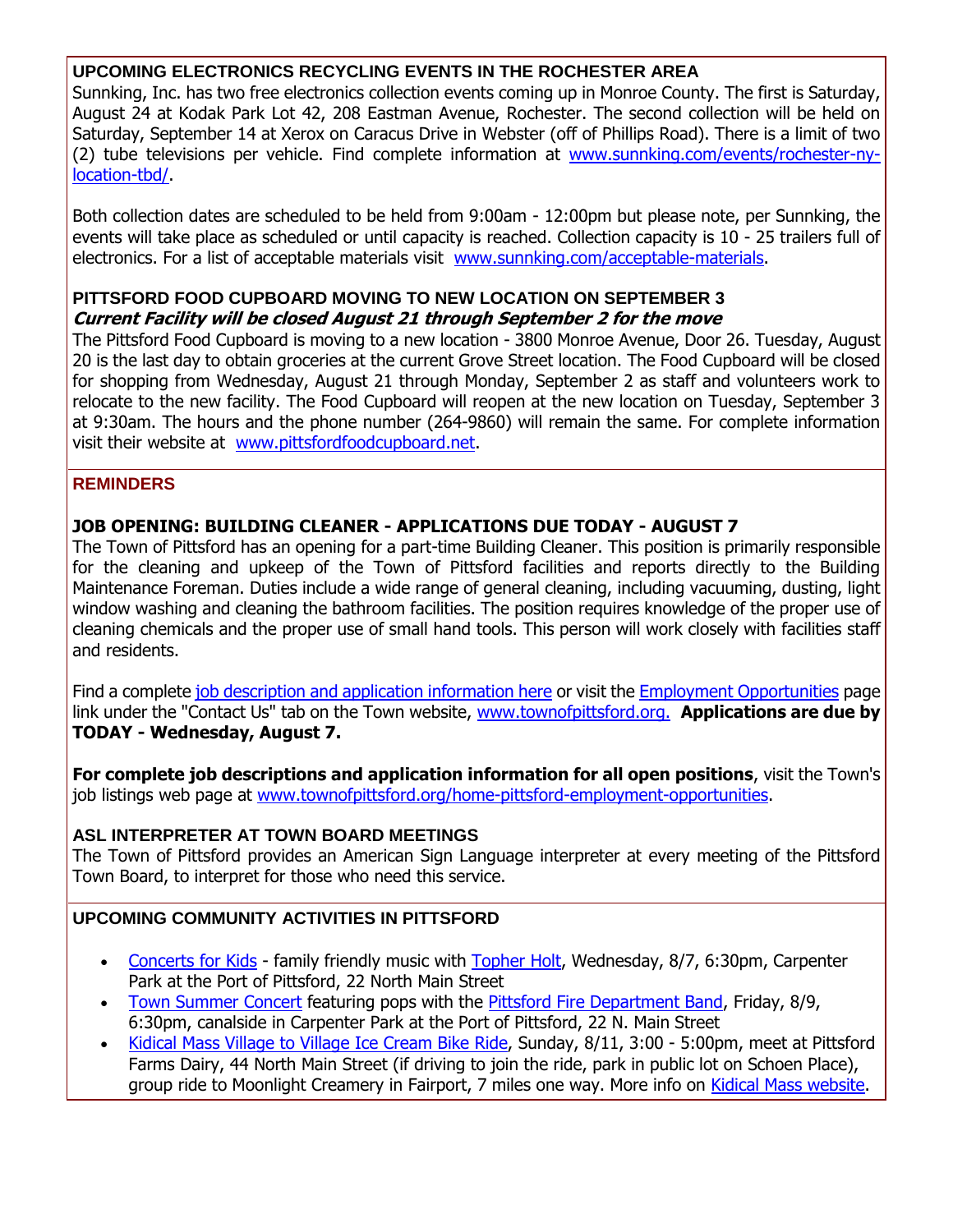#### **UPCOMING ELECTRONICS RECYCLING EVENTS IN THE ROCHESTER AREA**

Sunnking, Inc. has two free electronics collection events coming up in Monroe County. The first is Saturday, August 24 at Kodak Park Lot 42, 208 Eastman Avenue, Rochester. The second collection will be held on Saturday, September 14 at Xerox on Caracus Drive in Webster (off of Phillips Road). There is a limit of two (2) tube televisions per vehicle. Find complete information at [www.sunnking.com/events/rochester-ny](http://r20.rs6.net/tn.jsp?f=001IqwHvSa-YcwS_16bosyT9LQ4Qj4y9hcPsqDP-gY7m7QXbojCZ67-tj_LZgj44WV6dhKEOWz40N-z6m1NswYvfa3EDtiFhnNTA7HpnRg3wOq88xplnAyFfsQuDXcTKMuDbnMXp8uQ033DhvOlm8UVD_APQHvlIA08kDgqQ7uxcOf_XX1v0DPNsL1vbqMKyOK-Ko1fAhPaKZoSZaUxt16rdh30RFuQZhwJbFbaBxWQKuRT7OO2fV2Q0efFr2ITgCvEpR5heeqew2omp54bmn5qNHgSfyEsbOvAaM4oMrn5wSLaX_4l2mU2PB_epUmrzzQwFPKHv5M-xmDNG_2pJY46Kw==&c=gsnQLx4yFoPv5E3a10cPMct2hZneeqaNyrO2tN5VJQ8aJwkbxuKHmA==&ch=0fMKQyDSLbwABg77GZ24R3S-BDbl2uCe89FdjJn2LD1WduQFLsCfvw==)[location-tbd/.](http://r20.rs6.net/tn.jsp?f=001IqwHvSa-YcwS_16bosyT9LQ4Qj4y9hcPsqDP-gY7m7QXbojCZ67-tj_LZgj44WV6dhKEOWz40N-z6m1NswYvfa3EDtiFhnNTA7HpnRg3wOq88xplnAyFfsQuDXcTKMuDbnMXp8uQ033DhvOlm8UVD_APQHvlIA08kDgqQ7uxcOf_XX1v0DPNsL1vbqMKyOK-Ko1fAhPaKZoSZaUxt16rdh30RFuQZhwJbFbaBxWQKuRT7OO2fV2Q0efFr2ITgCvEpR5heeqew2omp54bmn5qNHgSfyEsbOvAaM4oMrn5wSLaX_4l2mU2PB_epUmrzzQwFPKHv5M-xmDNG_2pJY46Kw==&c=gsnQLx4yFoPv5E3a10cPMct2hZneeqaNyrO2tN5VJQ8aJwkbxuKHmA==&ch=0fMKQyDSLbwABg77GZ24R3S-BDbl2uCe89FdjJn2LD1WduQFLsCfvw==)

Both collection dates are scheduled to be held from 9:00am - 12:00pm but please note, per Sunnking, the events will take place as scheduled or until capacity is reached. Collection capacity is 10 - 25 trailers full of electronics. For a list of acceptable materials visit [www.sunnking.com/acceptable-materials.](http://r20.rs6.net/tn.jsp?f=001IqwHvSa-YcwS_16bosyT9LQ4Qj4y9hcPsqDP-gY7m7QXbojCZ67-tj_LZgj44WV6yBMxEBFUs6PyjHUNuhC4d7LtmTdSOodVp1deV5xGekfEOK94vfGejdtkOPx-BDxCmtGm53ZxB4JAfYbakyNo3JHyT2ZceoiBsO_oOd0zX2LNyB-X7D8raPH4_uvLWsLLZ82ibK5nC1dw88QI5J3UoeDWrIBZ1dP8-doSsHQnfv3qy3UBC7jkge_k2sEhKr9_7WmWCl3iYnBDC8ffvYVhNa9Su_-iYqju8JSlKD8rI1SmIyYP25G_QEo-J8JI5W34&c=gsnQLx4yFoPv5E3a10cPMct2hZneeqaNyrO2tN5VJQ8aJwkbxuKHmA==&ch=0fMKQyDSLbwABg77GZ24R3S-BDbl2uCe89FdjJn2LD1WduQFLsCfvw==)

#### **PITTSFORD FOOD CUPBOARD MOVING TO NEW LOCATION ON SEPTEMBER 3 Current Facility will be closed August 21 through September 2 for the move**

The Pittsford Food Cupboard is moving to a new location - 3800 Monroe Avenue, Door 26. Tuesday, August 20 is the last day to obtain groceries at the current Grove Street location. The Food Cupboard will be closed for shopping from Wednesday, August 21 through Monday, September 2 as staff and volunteers work to relocate to the new facility. The Food Cupboard will reopen at the new location on Tuesday, September 3 at 9:30am. The hours and the phone number (264-9860) will remain the same. For complete information visit their website at [www.pittsfordfoodcupboard.net.](http://r20.rs6.net/tn.jsp?f=001IqwHvSa-YcwS_16bosyT9LQ4Qj4y9hcPsqDP-gY7m7QXbojCZ67-tlhMWTQtRsl7n3XaTnztYh-_Payv9gPY9InRSyhPaP2uncjxA2nPlaEHPQNyC_yzRWQQFEXnOWzuH8zuCTz2MNEeOaohUM51WXeOmkiCNqY2i8ioJKJvxed6NJhs86PiRcttnxZvXyOcAtVRLll_00p9i0_574Ubkg4RHVFf2jv2xRzfHERraxKToNksBcmxOyxfeol9pLbFVjTIFL4AWNtS9SXJAsUf-Ng7DH8ErztAvRxEPNlolyrUTj7P0088nQ==&c=gsnQLx4yFoPv5E3a10cPMct2hZneeqaNyrO2tN5VJQ8aJwkbxuKHmA==&ch=0fMKQyDSLbwABg77GZ24R3S-BDbl2uCe89FdjJn2LD1WduQFLsCfvw==)

#### **REMINDERS**

#### **JOB OPENING: BUILDING CLEANER - APPLICATIONS DUE TODAY - AUGUST 7**

The Town of Pittsford has an opening for a part-time Building Cleaner. This position is primarily responsible for the cleaning and upkeep of the Town of Pittsford facilities and reports directly to the Building Maintenance Foreman. Duties include a wide range of general cleaning, including vacuuming, dusting, light window washing and cleaning the bathroom facilities. The position requires knowledge of the proper use of cleaning chemicals and the proper use of small hand tools. This person will work closely with facilities staff and residents.

Find a complete [job description and application information here](http://r20.rs6.net/tn.jsp?f=001IqwHvSa-YcwS_16bosyT9LQ4Qj4y9hcPsqDP-gY7m7QXbojCZ67-ttzX1YLkVy44fBD8w6WdoVMtcS4gZd_dB3Cc942baFFIU8po-d2PSXXF8nDypNFN9tdQZKvtwnjuzPtvNmx-ifeRL53ymQwxZcjHu7-DxnrPQwNNBde49g9xf-8b1IL580nwIp15G6y9vFwUTwGneSal9vs0-BAvh-pj5z_i49lQfl-kaiELDp_lrP5XUnOumXzK9Vt_7_81IVBDCqKJV22vXpcC91ZBuAN0iM2QP7m3UWw3zkydmEqNHicWSVqqmWy-inNyOGwu02IGU58ff0oK_sOeGiISgDKTDLq6Tabe0TwoJ6CAjgTDELTXsHS4R-rhgljOyKzB3iujtZhLDedcYfgTmDhhwg==&c=gsnQLx4yFoPv5E3a10cPMct2hZneeqaNyrO2tN5VJQ8aJwkbxuKHmA==&ch=0fMKQyDSLbwABg77GZ24R3S-BDbl2uCe89FdjJn2LD1WduQFLsCfvw==) or visit the [Employment Opportunities](http://r20.rs6.net/tn.jsp?f=001IqwHvSa-YcwS_16bosyT9LQ4Qj4y9hcPsqDP-gY7m7QXbojCZ67-tu1H2wFAyFOfJo_0Oy2m6YmFr9ul7ltsuP55ZtLehzdws4YYyN6U1CZDCW9-UmeFuI3-LlDmdmijl3m8ypO-6_Xvuekvcs1KRvbwbCyFm3z7hm9KbHR1K8_camISOtPR4QeOgIhrQj-rURuiqdGHlaUN3LWoQnyP6fu0fUeJl52Xq6CcWAKixSJfcqeltiuL-Nrs17YNzEllBfecREOiiNYYKiHo1TPZbSspjosYz6p6eQfgni9Us0GNnm-C07SdPbDIM3er30pX1AcWpndyrasT-R5jBkGERY0YDadZraiI&c=gsnQLx4yFoPv5E3a10cPMct2hZneeqaNyrO2tN5VJQ8aJwkbxuKHmA==&ch=0fMKQyDSLbwABg77GZ24R3S-BDbl2uCe89FdjJn2LD1WduQFLsCfvw==) page link under the "Contact Us" tab on the Town website, [www.townofpittsford.org.](http://r20.rs6.net/tn.jsp?f=001IqwHvSa-YcwS_16bosyT9LQ4Qj4y9hcPsqDP-gY7m7QXbojCZ67-tnglbJ1Twks3j2wIQjBHLcuB3zvyXA1FEqEVzjbDWhlxn76Cdk04jiSf5fo6ai9l848adomTDXhe5H0qqHdfok6UZCVokAhr3VdZUWLC2I3B7GiXi7XDCxeoomM3Ab0AhhmGEvdrpy5iE6gwUOs6Soj_hGwEFSddgLtdCx4T2A3G80P6LcxLw92by7JHCm0DC-tKDtphmRIdVm7SXXRg_MoqAJlKamqhiwr4Pg68DFtKsc0WSrmUbRg=&c=gsnQLx4yFoPv5E3a10cPMct2hZneeqaNyrO2tN5VJQ8aJwkbxuKHmA==&ch=0fMKQyDSLbwABg77GZ24R3S-BDbl2uCe89FdjJn2LD1WduQFLsCfvw==) **Applications are due by TODAY - Wednesday, August 7.**

**For complete job descriptions and application information for all open positions**, visit the Town's job listings web page at [www.townofpittsford.org/home-pittsford-employment-opportunities.](http://r20.rs6.net/tn.jsp?f=001IqwHvSa-YcwS_16bosyT9LQ4Qj4y9hcPsqDP-gY7m7QXbojCZ67-tu1H2wFAyFOfJo_0Oy2m6YmFr9ul7ltsuP55ZtLehzdws4YYyN6U1CZDCW9-UmeFuI3-LlDmdmijl3m8ypO-6_Xvuekvcs1KRvbwbCyFm3z7hm9KbHR1K8_camISOtPR4QeOgIhrQj-rURuiqdGHlaUN3LWoQnyP6fu0fUeJl52Xq6CcWAKixSJfcqeltiuL-Nrs17YNzEllBfecREOiiNYYKiHo1TPZbSspjosYz6p6eQfgni9Us0GNnm-C07SdPbDIM3er30pX1AcWpndyrasT-R5jBkGERY0YDadZraiI&c=gsnQLx4yFoPv5E3a10cPMct2hZneeqaNyrO2tN5VJQ8aJwkbxuKHmA==&ch=0fMKQyDSLbwABg77GZ24R3S-BDbl2uCe89FdjJn2LD1WduQFLsCfvw==)

#### **ASL INTERPRETER AT TOWN BOARD MEETINGS**

The Town of Pittsford provides an American Sign Language interpreter at every meeting of the Pittsford Town Board, to interpret for those who need this service.

# **UPCOMING COMMUNITY ACTIVITIES IN PITTSFORD**

- [Concerts for Kids](http://r20.rs6.net/tn.jsp?f=001IqwHvSa-YcwS_16bosyT9LQ4Qj4y9hcPsqDP-gY7m7QXbojCZ67-tl2hja9dXeZIqYI8aK8iI0lMQOFmn-H6HjY8Vn6VNttdHtKFCOqEOtgCiBEsHg8yY1Hjf7GZ8mf4bPHXFx4q8pJHlsBtJjRMsQPBRmLcQ8eGjrInV9urDPV3qNO-f0DDDdT5Wjfrju3-Yv1rf1U4EFFibuB-olLAVc_W9oKZom-J7vay7d6k0oCtCHAkFBqolV5nZQ1vUM7uSZucAe9zqfpx-9F5xjsSZ9nCQYmznB2guM_HeU8lFCwifhGdX6DfZ_Rirh4TvUQg&c=gsnQLx4yFoPv5E3a10cPMct2hZneeqaNyrO2tN5VJQ8aJwkbxuKHmA==&ch=0fMKQyDSLbwABg77GZ24R3S-BDbl2uCe89FdjJn2LD1WduQFLsCfvw==) family friendly music with [Topher Holt,](http://r20.rs6.net/tn.jsp?f=001IqwHvSa-YcwS_16bosyT9LQ4Qj4y9hcPsqDP-gY7m7QXbojCZ67-tnglbJ1Twks3zlzuo4mzAXc7AL2GV5lWvDr_-5KiIoO6m7hSpogJBLSfI2mEvYJxxfPyrjnFLAlbwau2BS2TVcskhhgPUTGy6BjpIC3cqGAwlA8R8MdWidBDj4Dzvzg2PdGJS0pQGu3VbBBanXiigRA=&c=gsnQLx4yFoPv5E3a10cPMct2hZneeqaNyrO2tN5VJQ8aJwkbxuKHmA==&ch=0fMKQyDSLbwABg77GZ24R3S-BDbl2uCe89FdjJn2LD1WduQFLsCfvw==) Wednesday, 8/7, 6:30pm, Carpenter Park at the Port of Pittsford, 22 North Main Street
- [Town Summer Concert](http://r20.rs6.net/tn.jsp?f=001IqwHvSa-YcwS_16bosyT9LQ4Qj4y9hcPsqDP-gY7m7QXbojCZ67-tiaAeiXVtH2m5XPuV18V2cplna5JIHlyjJcdsyrVXZGd1jVc1iEokzblMrbaYYpj4dtpM60Ao7uVUNpcBpxVqWAeUeFtj7_-MDet9C8vjvjhKe3PwIxn4sUduo6RlIhwxHHAynO0zEG0dJq7ZfAZkrOG4jDuaWcik_K5UpsiHrhf3sYyVIxM6kMD_Vqfg4SKMs3tfHflscFXiyROIc1QZtHOLKWG_z4XcLuo1nqaBNJcOo12q3csSY0wDYpZkGmrvU2swm7eq4b6&c=gsnQLx4yFoPv5E3a10cPMct2hZneeqaNyrO2tN5VJQ8aJwkbxuKHmA==&ch=0fMKQyDSLbwABg77GZ24R3S-BDbl2uCe89FdjJn2LD1WduQFLsCfvw==) featuring pops with the [Pittsford Fire Department Band,](http://r20.rs6.net/tn.jsp?f=001IqwHvSa-YcwS_16bosyT9LQ4Qj4y9hcPsqDP-gY7m7QXbojCZ67-tj_LZgj44WV6e-B1nNLIGGxVsP6s8_PDPfzxQG7uxq6QeaQC55eERTHpyz6SpBdxVTM-pYSr8HRb1YUWWLyIux2Lgr27YmK4E-hZBlZGAnOxBy4IOfGRQ-5gmd7Pfz037S6dkklxJrhL-UdUYTreWZhSPdT1A1xdPl1clbHs5TdOlmxmzkInmzpkuvjR_cAuwNxglcDqwSRsIg0WCpkcMtaau64sqOo-Vi5f1tFfi_5MqS5JUMHqDRU=&c=gsnQLx4yFoPv5E3a10cPMct2hZneeqaNyrO2tN5VJQ8aJwkbxuKHmA==&ch=0fMKQyDSLbwABg77GZ24R3S-BDbl2uCe89FdjJn2LD1WduQFLsCfvw==) Friday, 8/9, 6:30pm, canalside in Carpenter Park at the Port of Pittsford, 22 N. Main Street
- [Kidical Mass Village to Village Ice Cream Bike Ride,](http://r20.rs6.net/tn.jsp?f=001IqwHvSa-YcwS_16bosyT9LQ4Qj4y9hcPsqDP-gY7m7QXbojCZ67-tj_LZgj44WV6juLgoVoMI0IpQysedsDo5LR9BITioO9uDpj4lPlcoMxglhGFIWLIC9nHTKVZo0RMSahCOMkhD8wvVQ5qbI9gMBU3mzjkbNgKmbWlv2arI2DJ6uDWfbmUr6qDMpj-G9N1Z3wIdbtMAGPb0cAGSdwPwIzDACwtcJi_uZ5k9SifmF0qzCS2Ao0Y5p5c7ksdTxc2alTEow6_SwrQDTPkUG6VJWtjoDqwnuB6fw6KPgaQPxE1WpvR-TLHqzozFSS3bVJe32mhY0aY6phDs4Y5-nTQRJaFLuNXLdg7&c=gsnQLx4yFoPv5E3a10cPMct2hZneeqaNyrO2tN5VJQ8aJwkbxuKHmA==&ch=0fMKQyDSLbwABg77GZ24R3S-BDbl2uCe89FdjJn2LD1WduQFLsCfvw==) Sunday, 8/11, 3:00 5:00pm, meet at Pittsford Farms Dairy, 44 North Main Street (if driving to join the ride, park in public lot on Schoen Place), group ride to Moonlight Creamery in Fairport, 7 miles one way. More info on [Kidical Mass website.](http://r20.rs6.net/tn.jsp?f=001IqwHvSa-YcwS_16bosyT9LQ4Qj4y9hcPsqDP-gY7m7QXbojCZ67-tj_LZgj44WV6juLgoVoMI0IpQysedsDo5LR9BITioO9uDpj4lPlcoMxglhGFIWLIC9nHTKVZo0RMSahCOMkhD8wvVQ5qbI9gMBU3mzjkbNgKmbWlv2arI2DJ6uDWfbmUr6qDMpj-G9N1Z3wIdbtMAGPb0cAGSdwPwIzDACwtcJi_uZ5k9SifmF0qzCS2Ao0Y5p5c7ksdTxc2alTEow6_SwrQDTPkUG6VJWtjoDqwnuB6fw6KPgaQPxE1WpvR-TLHqzozFSS3bVJe32mhY0aY6phDs4Y5-nTQRJaFLuNXLdg7&c=gsnQLx4yFoPv5E3a10cPMct2hZneeqaNyrO2tN5VJQ8aJwkbxuKHmA==&ch=0fMKQyDSLbwABg77GZ24R3S-BDbl2uCe89FdjJn2LD1WduQFLsCfvw==)